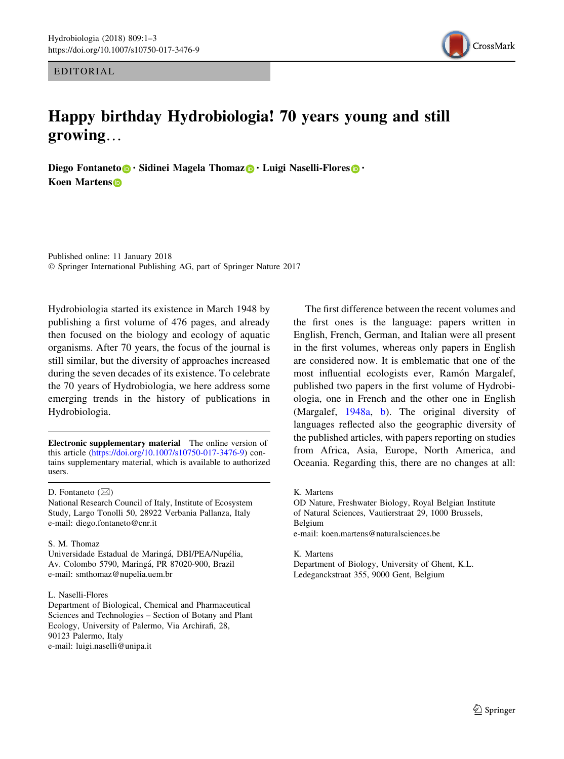EDITORIAL



## Happy birthday Hydrobiologia! 70 years young and still growing…

Diego Fontaneto **.** Sidinei Magela Thomaz **.** Luigi Naselli-Flores **.** . Koen Martens

Published online: 11 January 2018 - Springer International Publishing AG, part of Springer Nature 2017

Hydrobiologia started its existence in March 1948 by publishing a first volume of 476 pages, and already then focused on the biology and ecology of aquatic organisms. After 70 years, the focus of the journal is still similar, but the diversity of approaches increased during the seven decades of its existence. To celebrate the 70 years of Hydrobiologia, we here address some emerging trends in the history of publications in Hydrobiologia.

Electronic supplementary material The online version of this article [\(https://doi.org/10.1007/s10750-017-3476-9](https://doi.org/10.1007/s10750-017-3476-9)) contains supplementary material, which is available to authorized users.

D. Fontaneto  $(\boxtimes)$ 

National Research Council of Italy, Institute of Ecosystem Study, Largo Tonolli 50, 28922 Verbania Pallanza, Italy e-mail: diego.fontaneto@cnr.it

## S. M. Thomaz

Universidade Estadual de Maringá, DBI/PEA/Nupélia, Av. Colombo 5790, Maringa´, PR 87020-900, Brazil e-mail: smthomaz@nupelia.uem.br

## L. Naselli-Flores

Department of Biological, Chemical and Pharmaceutical Sciences and Technologies – Section of Botany and Plant Ecology, University of Palermo, Via Archirafi, 28, 90123 Palermo, Italy e-mail: luigi.naselli@unipa.it

The first difference between the recent volumes and the first ones is the language: papers written in English, French, German, and Italian were all present in the first volumes, whereas only papers in English are considered now. It is emblematic that one of the most influential ecologists ever, Ramón Margalef, published two papers in the first volume of Hydrobiologia, one in French and the other one in English (Margalef, [1948a](#page-2-0), [b](#page-2-0)). The original diversity of languages reflected also the geographic diversity of the published articles, with papers reporting on studies from Africa, Asia, Europe, North America, and Oceania. Regarding this, there are no changes at all:

K. Martens

OD Nature, Freshwater Biology, Royal Belgian Institute of Natural Sciences, Vautierstraat 29, 1000 Brussels, Belgium e-mail: koen.martens@naturalsciences.be

K. Martens

Department of Biology, University of Ghent, K.L. Ledeganckstraat 355, 9000 Gent, Belgium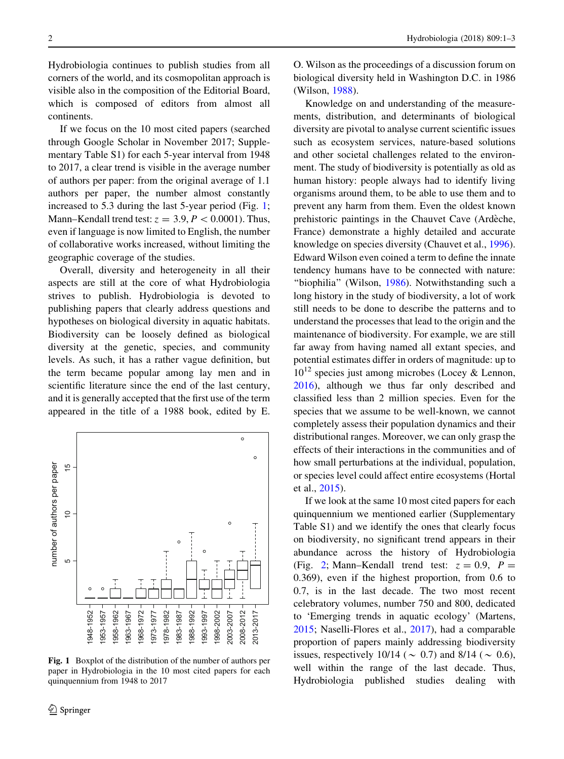Hydrobiologia continues to publish studies from all corners of the world, and its cosmopolitan approach is visible also in the composition of the Editorial Board, which is composed of editors from almost all continents.

If we focus on the 10 most cited papers (searched through Google Scholar in November 2017; Supplementary Table S1) for each 5-year interval from 1948 to 2017, a clear trend is visible in the average number of authors per paper: from the original average of 1.1 authors per paper, the number almost constantly increased to 5.3 during the last 5-year period (Fig. 1; Mann–Kendall trend test:  $z = 3.9, P < 0.0001$ . Thus, even if language is now limited to English, the number of collaborative works increased, without limiting the geographic coverage of the studies.

Overall, diversity and heterogeneity in all their aspects are still at the core of what Hydrobiologia strives to publish. Hydrobiologia is devoted to publishing papers that clearly address questions and hypotheses on biological diversity in aquatic habitats. Biodiversity can be loosely defined as biological diversity at the genetic, species, and community levels. As such, it has a rather vague definition, but the term became popular among lay men and in scientific literature since the end of the last century, and it is generally accepted that the first use of the term appeared in the title of a 1988 book, edited by E.



Fig. 1 Boxplot of the distribution of the number of authors per paper in Hydrobiologia in the 10 most cited papers for each quinquennium from 1948 to 2017

O. Wilson as the proceedings of a discussion forum on biological diversity held in Washington D.C. in 1986 (Wilson, [1988](#page-2-0)).

Knowledge on and understanding of the measurements, distribution, and determinants of biological diversity are pivotal to analyse current scientific issues such as ecosystem services, nature-based solutions and other societal challenges related to the environment. The study of biodiversity is potentially as old as human history: people always had to identify living organisms around them, to be able to use them and to prevent any harm from them. Even the oldest known prehistoric paintings in the Chauvet Cave (Ardèche, France) demonstrate a highly detailed and accurate knowledge on species diversity (Chauvet et al., [1996](#page-2-0)). Edward Wilson even coined a term to define the innate tendency humans have to be connected with nature: ''biophilia'' (Wilson, [1986\)](#page-2-0). Notwithstanding such a long history in the study of biodiversity, a lot of work still needs to be done to describe the patterns and to understand the processes that lead to the origin and the maintenance of biodiversity. For example, we are still far away from having named all extant species, and potential estimates differ in orders of magnitude: up to  $10^{12}$  species just among microbes (Locey & Lennon, [2016\)](#page-2-0), although we thus far only described and classified less than 2 million species. Even for the species that we assume to be well-known, we cannot completely assess their population dynamics and their distributional ranges. Moreover, we can only grasp the effects of their interactions in the communities and of how small perturbations at the individual, population, or species level could affect entire ecosystems (Hortal et al., [2015\)](#page-2-0).

If we look at the same 10 most cited papers for each quinquennium we mentioned earlier (Supplementary Table S1) and we identify the ones that clearly focus on biodiversity, no significant trend appears in their abundance across the history of Hydrobiologia (Fig. [2;](#page-2-0) Mann–Kendall trend test:  $z = 0.9$ ,  $P =$ 0.369), even if the highest proportion, from 0.6 to 0.7, is in the last decade. The two most recent celebratory volumes, number 750 and 800, dedicated to 'Emerging trends in aquatic ecology' (Martens, [2015;](#page-2-0) Naselli-Flores et al., [2017](#page-2-0)), had a comparable proportion of papers mainly addressing biodiversity issues, respectively 10/14 ( $\sim$  0.7) and 8/14 ( $\sim$  0.6), well within the range of the last decade. Thus, Hydrobiologia published studies dealing with